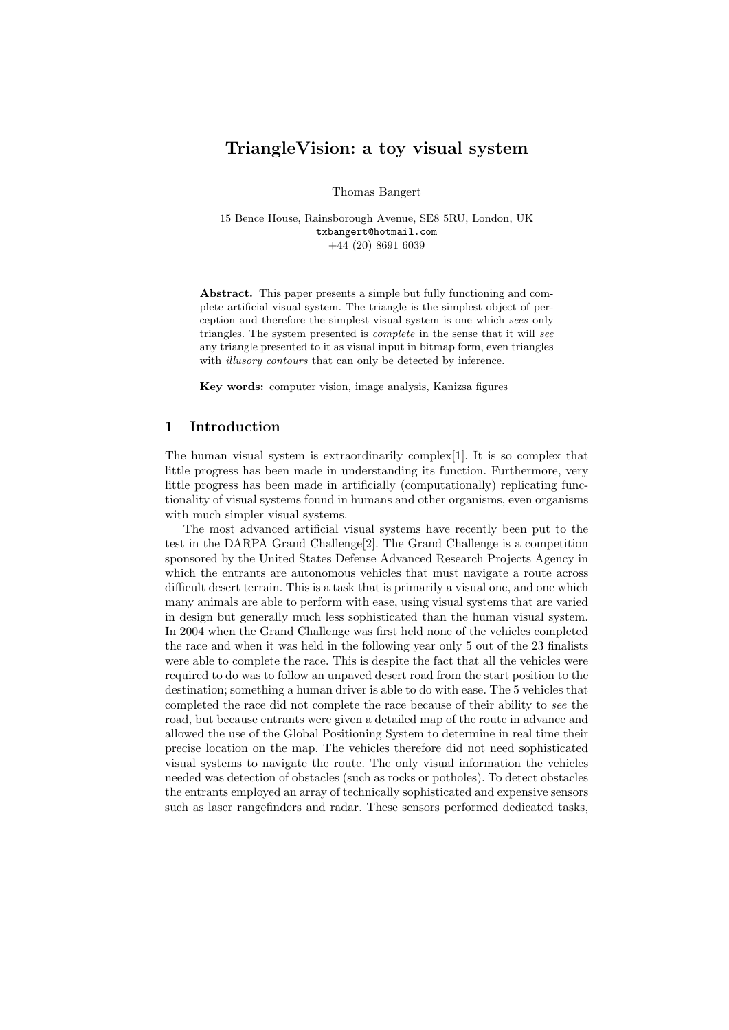# **TriangleVision: a toy visual system**

Thomas Bangert

15 Bence House, Rainsborough Avenue, SE8 5RU, London, UK txbangert@hotmail.com +44 (20) 8691 6039

**Abstract.** This paper presents a simple but fully functioning and complete artificial visual system. The triangle is the simplest object of perception and therefore the simplest visual system is one which *sees* only triangles. The system presented is *complete* in the sense that it will *see* any triangle presented to it as visual input in bitmap form, even triangles with *illusory contours* that can only be detected by inference.

**Key words:** computer vision, image analysis, Kanizsa figures

## **1 Introduction**

The human visual system is extraordinarily complex[1]. It is so complex that little progress has been made in understanding its function. Furthermore, very little progress has been made in artificially (computationally) replicating functionality of visual systems found in humans and other organisms, even organisms with much simpler visual systems.

The most advanced artificial visual systems have recently been put to the test in the DARPA Grand Challenge[2]. The Grand Challenge is a competition sponsored by the United States Defense Advanced Research Projects Agency in which the entrants are autonomous vehicles that must navigate a route across difficult desert terrain. This is a task that is primarily a visual one, and one which many animals are able to perform with ease, using visual systems that are varied in design but generally much less sophisticated than the human visual system. In 2004 when the Grand Challenge was first held none of the vehicles completed the race and when it was held in the following year only 5 out of the 23 finalists were able to complete the race. This is despite the fact that all the vehicles were required to do was to follow an unpaved desert road from the start position to the destination; something a human driver is able to do with ease. The 5 vehicles that completed the race did not complete the race because of their ability to *see* the road, but because entrants were given a detailed map of the route in advance and allowed the use of the Global Positioning System to determine in real time their precise location on the map. The vehicles therefore did not need sophisticated visual systems to navigate the route. The only visual information the vehicles needed was detection of obstacles (such as rocks or potholes). To detect obstacles the entrants employed an array of technically sophisticated and expensive sensors such as laser rangefinders and radar. These sensors performed dedicated tasks,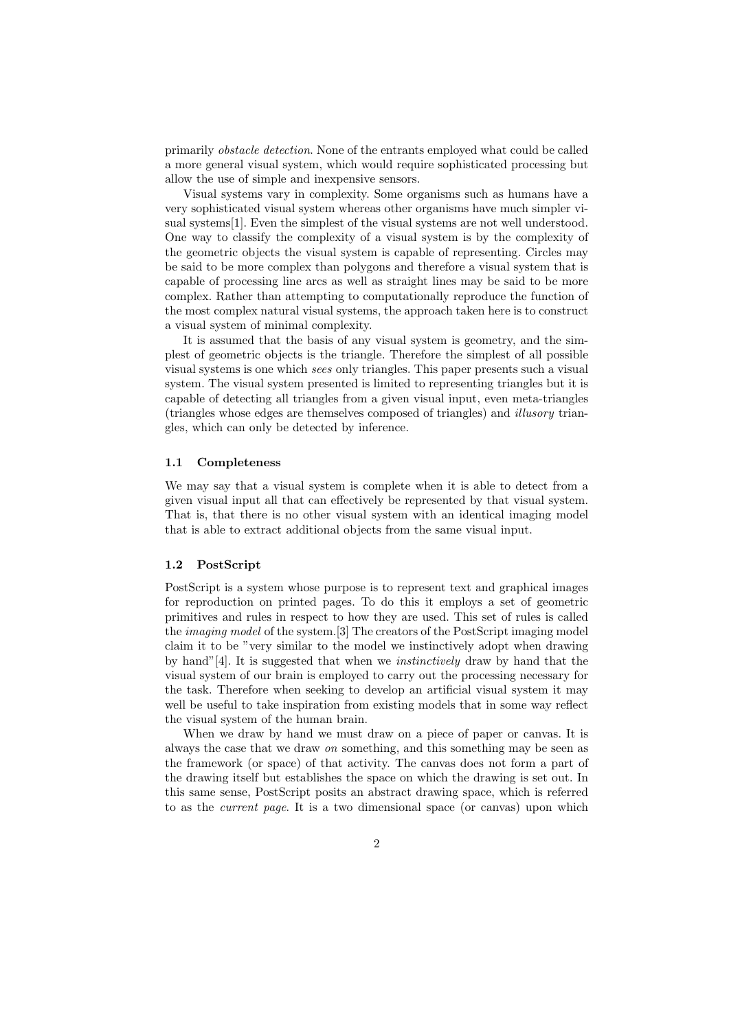primarily *obstacle detection*. None of the entrants employed what could be called a more general visual system, which would require sophisticated processing but allow the use of simple and inexpensive sensors.

Visual systems vary in complexity. Some organisms such as humans have a very sophisticated visual system whereas other organisms have much simpler visual systems[1]. Even the simplest of the visual systems are not well understood. One way to classify the complexity of a visual system is by the complexity of the geometric objects the visual system is capable of representing. Circles may be said to be more complex than polygons and therefore a visual system that is capable of processing line arcs as well as straight lines may be said to be more complex. Rather than attempting to computationally reproduce the function of the most complex natural visual systems, the approach taken here is to construct a visual system of minimal complexity.

It is assumed that the basis of any visual system is geometry, and the simplest of geometric objects is the triangle. Therefore the simplest of all possible visual systems is one which *sees* only triangles. This paper presents such a visual system. The visual system presented is limited to representing triangles but it is capable of detecting all triangles from a given visual input, even meta-triangles (triangles whose edges are themselves composed of triangles) and *illusory* triangles, which can only be detected by inference.

#### **1.1 Completeness**

We may say that a visual system is complete when it is able to detect from a given visual input all that can effectively be represented by that visual system. That is, that there is no other visual system with an identical imaging model that is able to extract additional objects from the same visual input.

#### **1.2 PostScript**

PostScript is a system whose purpose is to represent text and graphical images for reproduction on printed pages. To do this it employs a set of geometric primitives and rules in respect to how they are used. This set of rules is called the *imaging model* of the system.[3] The creators of the PostScript imaging model claim it to be "very similar to the model we instinctively adopt when drawing by hand"[4]. It is suggested that when we *instinctively* draw by hand that the visual system of our brain is employed to carry out the processing necessary for the task. Therefore when seeking to develop an artificial visual system it may well be useful to take inspiration from existing models that in some way reflect the visual system of the human brain.

When we draw by hand we must draw on a piece of paper or canvas. It is always the case that we draw *on* something, and this something may be seen as the framework (or space) of that activity. The canvas does not form a part of the drawing itself but establishes the space on which the drawing is set out. In this same sense, PostScript posits an abstract drawing space, which is referred to as the *current page*. It is a two dimensional space (or canvas) upon which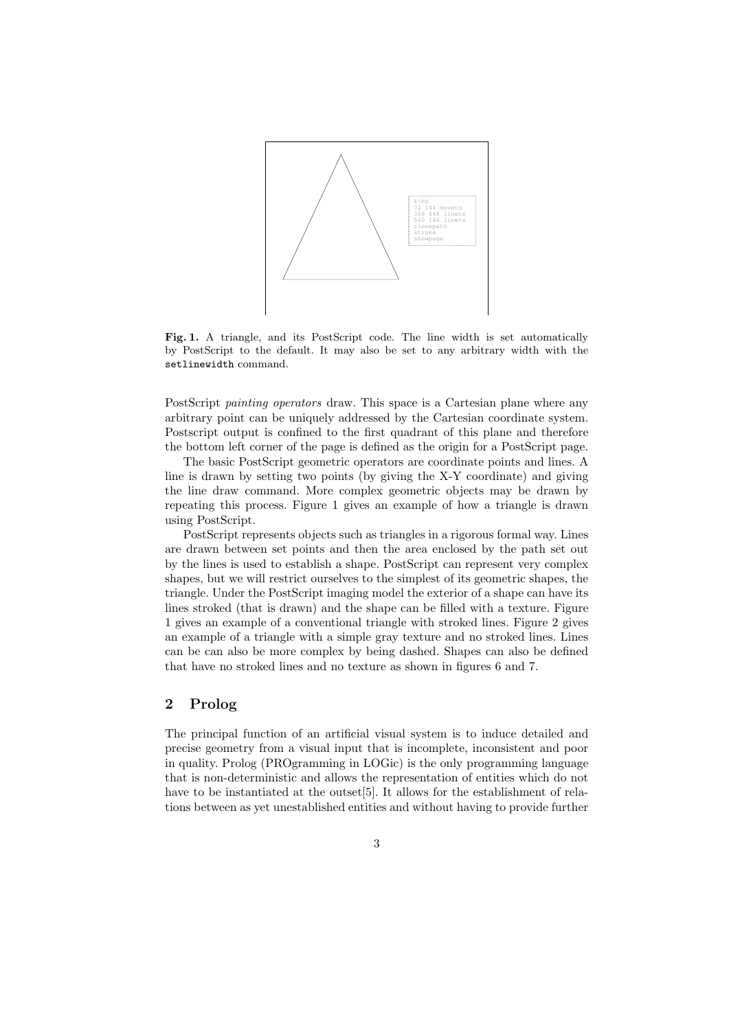

Fig. 1. A triangle, and its PostScript code. The line width is set automatically by PostScript to the default. It may also be set to any arbitrary width with the setlinewidth command.

PostScript *painting operators* draw. This space is a Cartesian plane where any arbitrary point can be uniquely addressed by the Cartesian coordinate system. Postscript output is confined to the first quadrant of this plane and therefore the bottom left corner of the page is defined as the origin for a PostScript page.

The basic PostScript geometric operators are coordinate points and lines. A line is drawn by setting two points (by giving the X-Y coordinate) and giving the line draw command. More complex geometric objects may be drawn by repeating this process. Figure 1 gives an example of how a triangle is drawn using PostScript.

PostScript represents objects such as triangles in a rigorous formal way. Lines are drawn between set points and then the area enclosed by the path set out by the lines is used to establish a shape. PostScript can represent very complex shapes, but we will restrict ourselves to the simplest of its geometric shapes, the triangle. Under the PostScript imaging model the exterior of a shape can have its lines stroked (that is drawn) and the shape can be filled with a texture. Figure 1 gives an example of a conventional triangle with stroked lines. Figure 2 gives an example of a triangle with a simple gray texture and no stroked lines. Lines can be can also be more complex by being dashed. Shapes can also be defined that have no stroked lines and no texture as shown in figures 6 and 7.

# **2 Prolog**

The principal function of an artificial visual system is to induce detailed and precise geometry from a visual input that is incomplete, inconsistent and poor in quality. Prolog (PROgramming in LOGic) is the only programming language that is non-deterministic and allows the representation of entities which do not have to be instantiated at the outset[5]. It allows for the establishment of relations between as yet unestablished entities and without having to provide further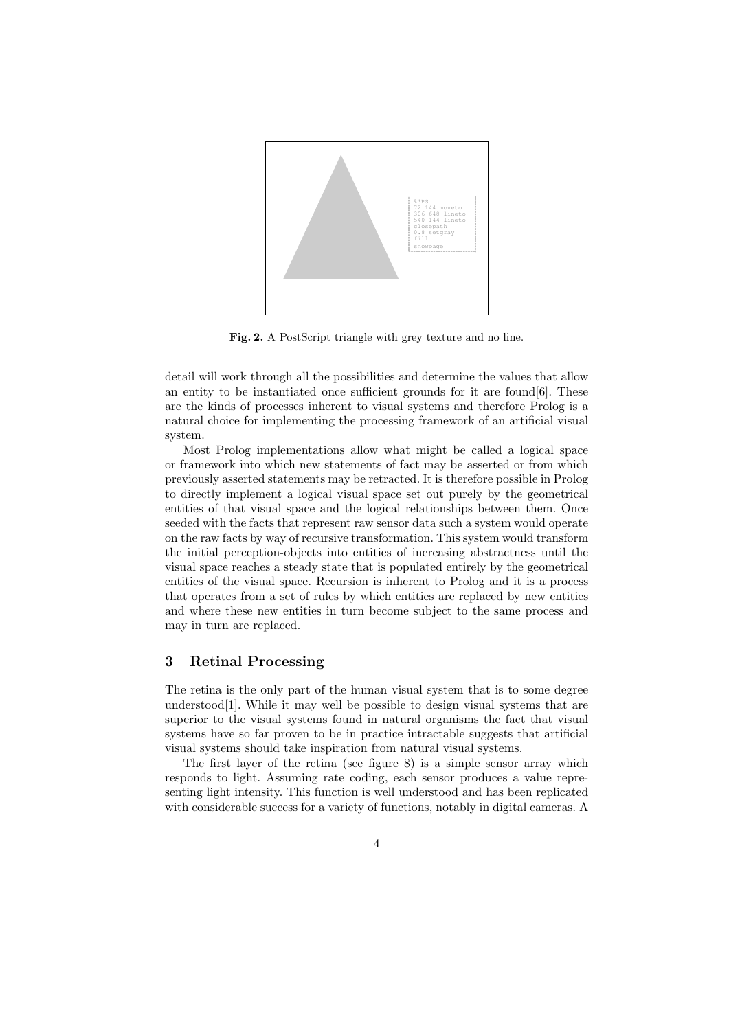

**Fig. 2.** A PostScript triangle with grey texture and no line.

detail will work through all the possibilities and determine the values that allow an entity to be instantiated once sufficient grounds for it are found  $[6]$ . These are the kinds of processes inherent to visual systems and therefore Prolog is a natural choice for implementing the processing framework of an artificial visual system.

Most Prolog implementations allow what might be called a logical space or framework into which new statements of fact may be asserted or from which previously asserted statements may be retracted. It is therefore possible in Prolog to directly implement a logical visual space set out purely by the geometrical entities of that visual space and the logical relationships between them. Once seeded with the facts that represent raw sensor data such a system would operate on the raw facts by way of recursive transformation. This system would transform the initial perception-objects into entities of increasing abstractness until the visual space reaches a steady state that is populated entirely by the geometrical entities of the visual space. Recursion is inherent to Prolog and it is a process that operates from a set of rules by which entities are replaced by new entities and where these new entities in turn become subject to the same process and may in turn are replaced.

## **3 Retinal Processing**

The retina is the only part of the human visual system that is to some degree understood[1]. While it may well be possible to design visual systems that are superior to the visual systems found in natural organisms the fact that visual systems have so far proven to be in practice intractable suggests that artificial visual systems should take inspiration from natural visual systems.

The first layer of the retina (see figure 8) is a simple sensor array which responds to light. Assuming rate coding, each sensor produces a value representing light intensity. This function is well understood and has been replicated with considerable success for a variety of functions, notably in digital cameras. A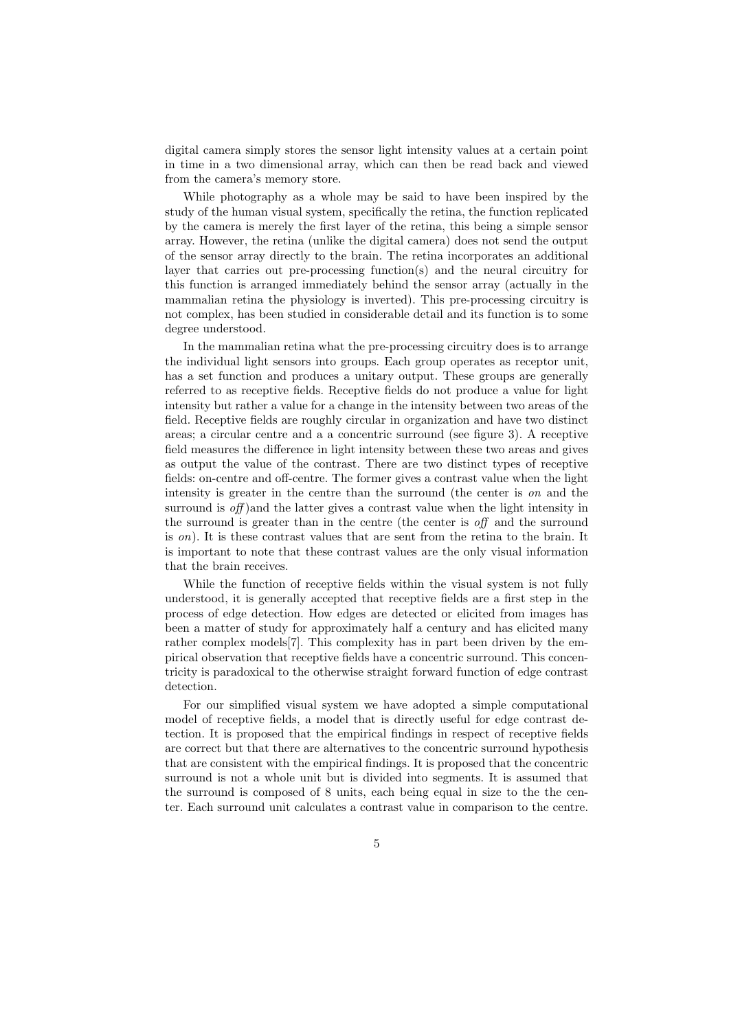digital camera simply stores the sensor light intensity values at a certain point in time in a two dimensional array, which can then be read back and viewed from the camera's memory store.

While photography as a whole may be said to have been inspired by the study of the human visual system, specifically the retina, the function replicated by the camera is merely the first layer of the retina, this being a simple sensor array. However, the retina (unlike the digital camera) does not send the output of the sensor array directly to the brain. The retina incorporates an additional layer that carries out pre-processing function(s) and the neural circuitry for this function is arranged immediately behind the sensor array (actually in the mammalian retina the physiology is inverted). This pre-processing circuitry is not complex, has been studied in considerable detail and its function is to some degree understood.

In the mammalian retina what the pre-processing circuitry does is to arrange the individual light sensors into groups. Each group operates as receptor unit, has a set function and produces a unitary output. These groups are generally referred to as receptive fields. Receptive fields do not produce a value for light intensity but rather a value for a change in the intensity between two areas of the field. Receptive fields are roughly circular in organization and have two distinct areas; a circular centre and a a concentric surround (see figure 3). A receptive field measures the difference in light intensity between these two areas and gives as output the value of the contrast. There are two distinct types of receptive fields: on-centre and off-centre. The former gives a contrast value when the light intensity is greater in the centre than the surround (the center is *on* and the surround is *off* )and the latter gives a contrast value when the light intensity in the surround is greater than in the centre (the center is *off* and the surround is *on*). It is these contrast values that are sent from the retina to the brain. It is important to note that these contrast values are the only visual information that the brain receives.

While the function of receptive fields within the visual system is not fully understood, it is generally accepted that receptive fields are a first step in the process of edge detection. How edges are detected or elicited from images has been a matter of study for approximately half a century and has elicited many rather complex models[7]. This complexity has in part been driven by the empirical observation that receptive fields have a concentric surround. This concentricity is paradoxical to the otherwise straight forward function of edge contrast detection.

For our simplified visual system we have adopted a simple computational model of receptive fields, a model that is directly useful for edge contrast detection. It is proposed that the empirical findings in respect of receptive fields are correct but that there are alternatives to the concentric surround hypothesis that are consistent with the empirical findings. It is proposed that the concentric surround is not a whole unit but is divided into segments. It is assumed that the surround is composed of 8 units, each being equal in size to the the center. Each surround unit calculates a contrast value in comparison to the centre.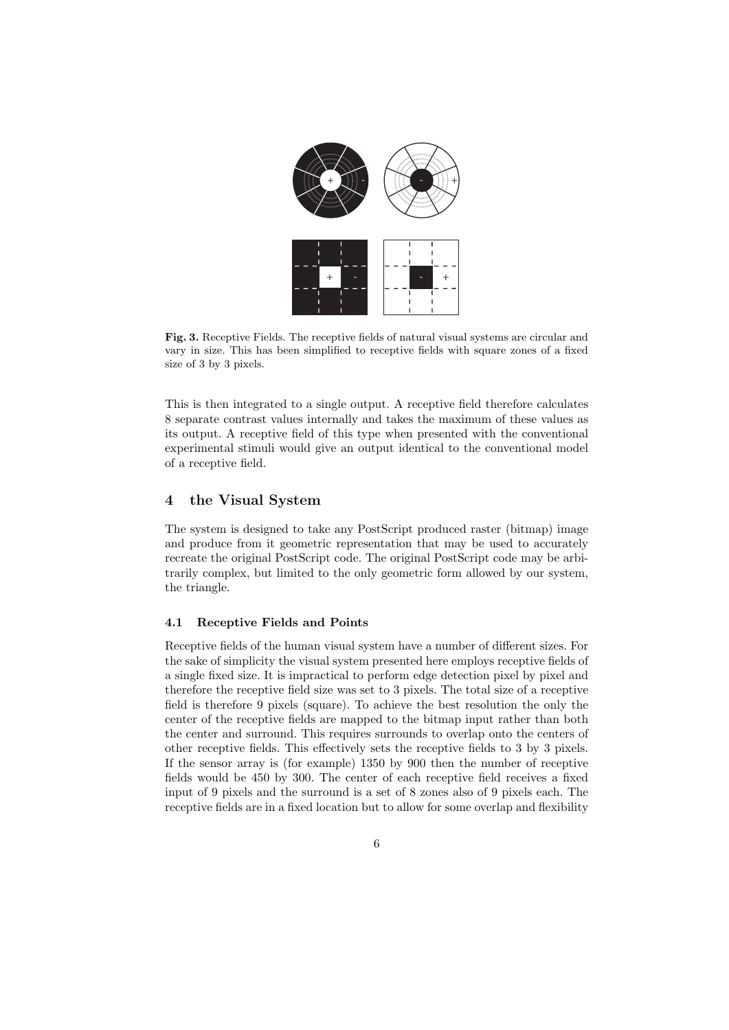

**Fig. 3.** Receptive Fields. The receptive fields of natural visual systems are circular and vary in size. This has been simplified to receptive fields with square zones of a fixed size of 3 by 3 pixels.

This is then integrated to a single output. A receptive field therefore calculates 8 separate contrast values internally and takes the maximum of these values as its output. A receptive field of this type when presented with the conventional experimental stimuli would give an output identical to the conventional model of a receptive field.

## **4 the Visual System**

The system is designed to take any PostScript produced raster (bitmap) image and produce from it geometric representation that may be used to accurately recreate the original PostScript code. The original PostScript code may be arbitrarily complex, but limited to the only geometric form allowed by our system, the triangle.

#### **4.1 Receptive Fields and Points**

Receptive fields of the human visual system have a number of different sizes. For the sake of simplicity the visual system presented here employs receptive fields of a single fixed size. It is impractical to perform edge detection pixel by pixel and therefore the receptive field size was set to 3 pixels. The total size of a receptive field is therefore 9 pixels (square). To achieve the best resolution the only the center of the receptive fields are mapped to the bitmap input rather than both the center and surround. This requires surrounds to overlap onto the centers of other receptive fields. This effectively sets the receptive fields to 3 by 3 pixels. If the sensor array is (for example) 1350 by 900 then the number of receptive fields would be 450 by 300. The center of each receptive field receives a fixed input of 9 pixels and the surround is a set of 8 zones also of 9 pixels each. The receptive fields are in a fixed location but to allow for some overlap and flexibility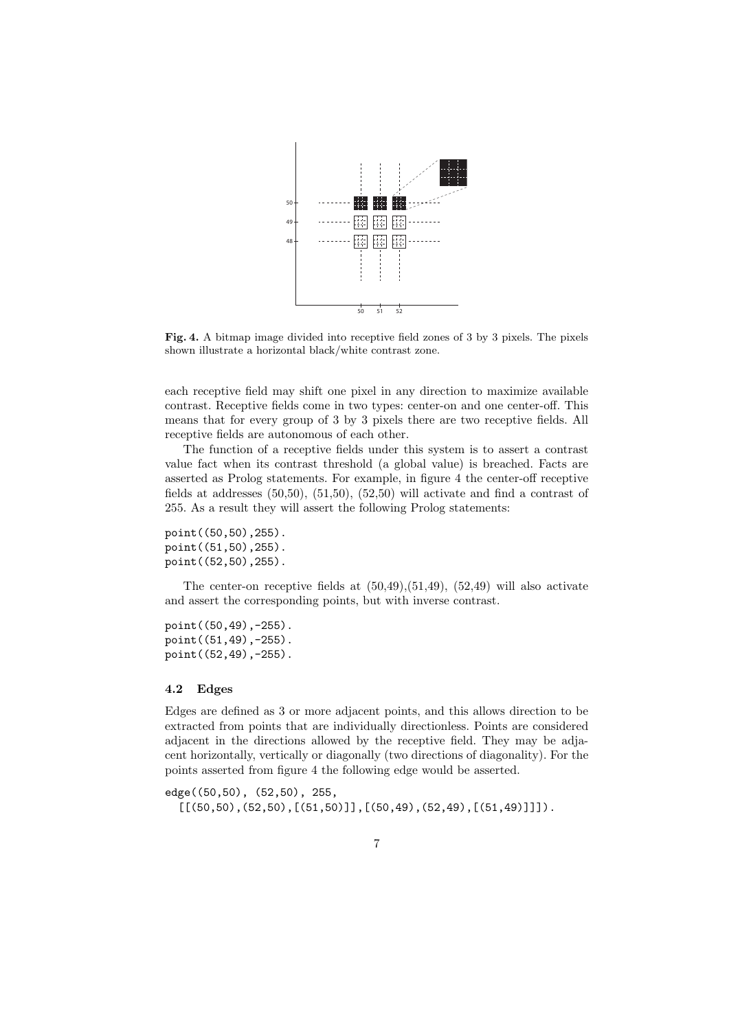

**Fig. 4.** A bitmap image divided into receptive field zones of 3 by 3 pixels. The pixels shown illustrate a horizontal black/white contrast zone.

each receptive field may shift one pixel in any direction to maximize available contrast. Receptive fields come in two types: center-on and one center-off. This means that for every group of 3 by 3 pixels there are two receptive fields. All receptive fields are autonomous of each other.

The function of a receptive fields under this system is to assert a contrast value fact when its contrast threshold (a global value) is breached. Facts are asserted as Prolog statements. For example, in figure 4 the center-off receptive fields at addresses  $(50,50)$ ,  $(51,50)$ ,  $(52,50)$  will activate and find a contrast of 255. As a result they will assert the following Prolog statements:

```
point((50,50),255).
point((51,50),255).
point((52,50),255).
```
The center-on receptive fields at  $(50,49), (51,49), (52,49)$  will also activate and assert the corresponding points, but with inverse contrast.

point((50,49),-255). point((51,49),-255). point((52,49),-255).

#### **4.2 Edges**

Edges are defined as 3 or more adjacent points, and this allows direction to be extracted from points that are individually directionless. Points are considered adjacent in the directions allowed by the receptive field. They may be adjacent horizontally, vertically or diagonally (two directions of diagonality). For the points asserted from figure 4 the following edge would be asserted.

```
edge((50,50), (52,50), 255,
  [[(50,50), (52,50), [(51,50)]], [(50,49), (52,49), [(51,49)]]].
```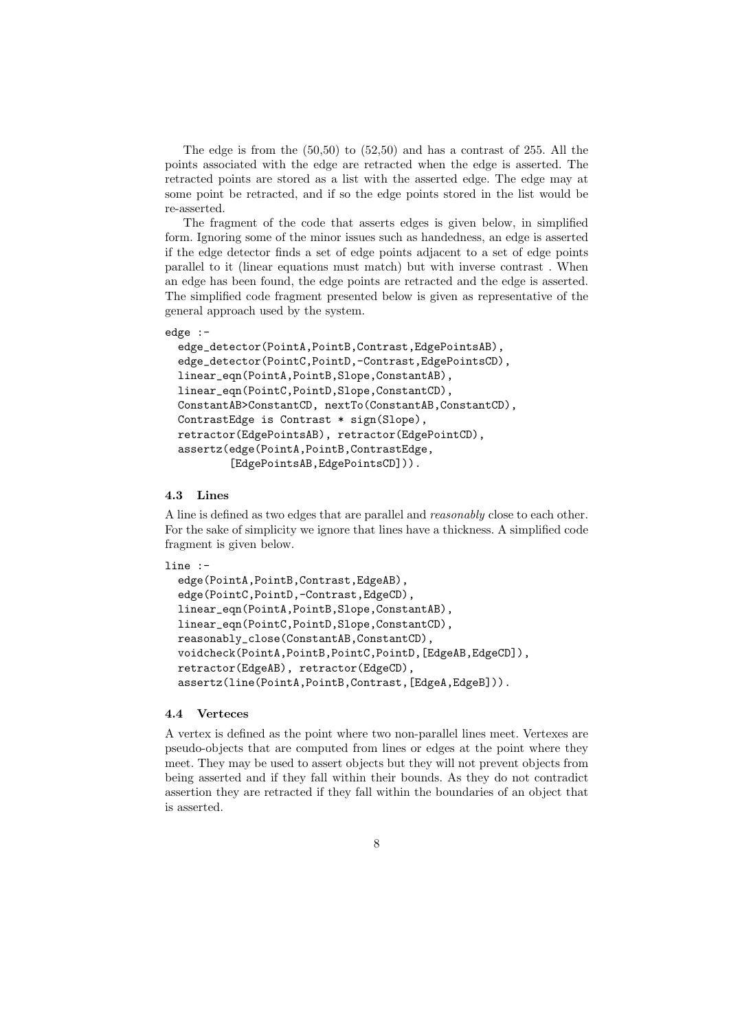The edge is from the  $(50,50)$  to  $(52,50)$  and has a contrast of 255. All the points associated with the edge are retracted when the edge is asserted. The retracted points are stored as a list with the asserted edge. The edge may at some point be retracted, and if so the edge points stored in the list would be re-asserted.

The fragment of the code that asserts edges is given below, in simplified form. Ignoring some of the minor issues such as handedness, an edge is asserted if the edge detector finds a set of edge points adjacent to a set of edge points parallel to it (linear equations must match) but with inverse contrast . When an edge has been found, the edge points are retracted and the edge is asserted. The simplified code fragment presented below is given as representative of the general approach used by the system.

#### edge :-

```
edge_detector(PointA,PointB,Contrast,EdgePointsAB),
edge_detector(PointC,PointD,-Contrast,EdgePointsCD),
linear_eqn(PointA,PointB,Slope,ConstantAB),
linear_eqn(PointC,PointD,Slope,ConstantCD),
ConstantAB>ConstantCD, nextTo(ConstantAB,ConstantCD),
ContrastEdge is Contrast * sign(Slope),
retractor(EdgePointsAB), retractor(EdgePointCD),
assertz(edge(PointA,PointB,ContrastEdge,
        [EdgePointsAB,EdgePointsCD])).
```
#### **4.3 Lines**

A line is defined as two edges that are parallel and *reasonably* close to each other. For the sake of simplicity we ignore that lines have a thickness. A simplified code fragment is given below.

#### line :-

```
edge(PointA,PointB,Contrast,EdgeAB),
edge(PointC,PointD,-Contrast,EdgeCD),
linear_eqn(PointA,PointB,Slope,ConstantAB),
linear_eqn(PointC,PointD,Slope,ConstantCD),
reasonably_close(ConstantAB,ConstantCD),
voidcheck(PointA,PointB,PointC,PointD,[EdgeAB,EdgeCD]),
retractor(EdgeAB), retractor(EdgeCD),
assertz(line(PointA,PointB,Contrast,[EdgeA,EdgeB])).
```
## **4.4 Verteces**

A vertex is defined as the point where two non-parallel lines meet. Vertexes are pseudo-objects that are computed from lines or edges at the point where they meet. They may be used to assert objects but they will not prevent objects from being asserted and if they fall within their bounds. As they do not contradict assertion they are retracted if they fall within the boundaries of an object that is asserted.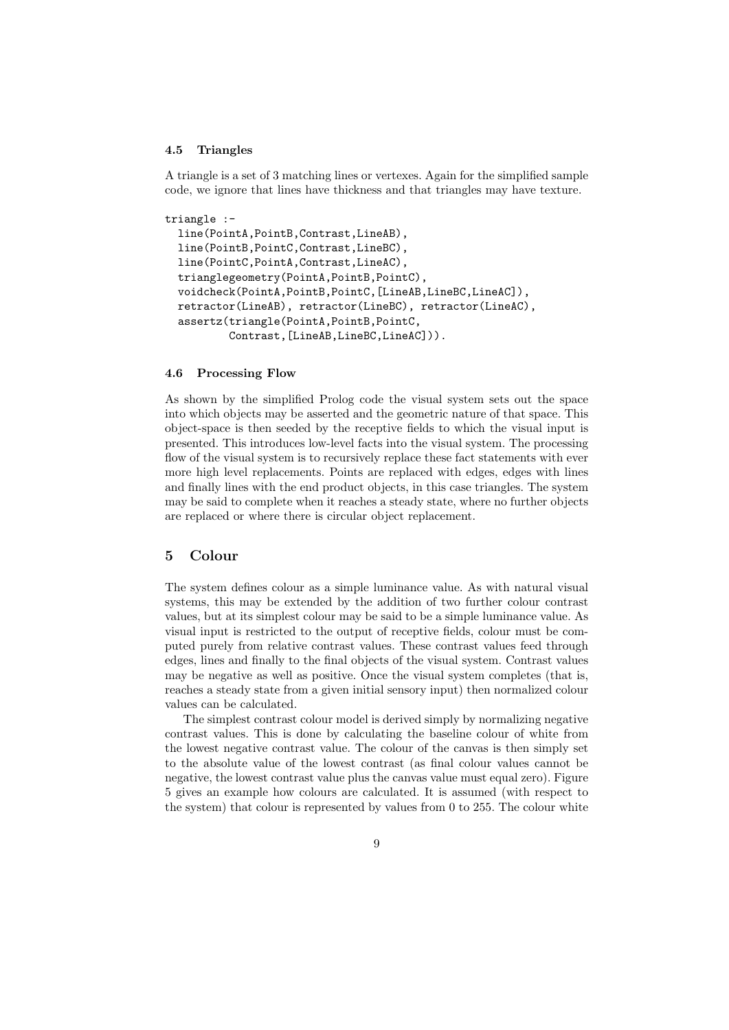#### **4.5 Triangles**

A triangle is a set of 3 matching lines or vertexes. Again for the simplified sample code, we ignore that lines have thickness and that triangles may have texture.

```
triangle :-
 line(PointA,PointB,Contrast,LineAB),
 line(PointB,PointC,Contrast,LineBC),
 line(PointC,PointA,Contrast,LineAC),
 trianglegeometry(PointA,PointB,PointC),
 voidcheck(PointA,PointB,PointC,[LineAB,LineBC,LineAC]),
 retractor(LineAB), retractor(LineBC), retractor(LineAC),
 assertz(triangle(PointA,PointB,PointC,
          Contrast,[LineAB,LineBC,LineAC])).
```
#### **4.6 Processing Flow**

As shown by the simplified Prolog code the visual system sets out the space into which objects may be asserted and the geometric nature of that space. This object-space is then seeded by the receptive fields to which the visual input is presented. This introduces low-level facts into the visual system. The processing flow of the visual system is to recursively replace these fact statements with ever more high level replacements. Points are replaced with edges, edges with lines and finally lines with the end product objects, in this case triangles. The system may be said to complete when it reaches a steady state, where no further objects are replaced or where there is circular object replacement.

## **5 Colour**

The system defines colour as a simple luminance value. As with natural visual systems, this may be extended by the addition of two further colour contrast values, but at its simplest colour may be said to be a simple luminance value. As visual input is restricted to the output of receptive fields, colour must be computed purely from relative contrast values. These contrast values feed through edges, lines and finally to the final objects of the visual system. Contrast values may be negative as well as positive. Once the visual system completes (that is, reaches a steady state from a given initial sensory input) then normalized colour values can be calculated.

The simplest contrast colour model is derived simply by normalizing negative contrast values. This is done by calculating the baseline colour of white from the lowest negative contrast value. The colour of the canvas is then simply set to the absolute value of the lowest contrast (as final colour values cannot be negative, the lowest contrast value plus the canvas value must equal zero). Figure 5 gives an example how colours are calculated. It is assumed (with respect to the system) that colour is represented by values from 0 to 255. The colour white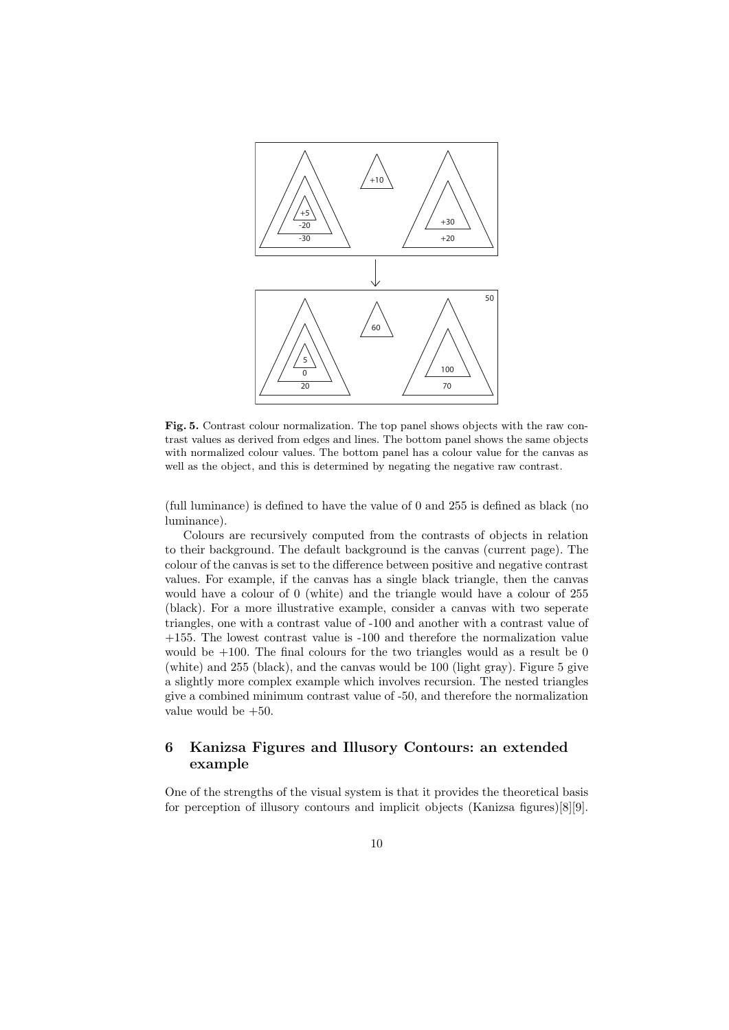

**Fig. 5.** Contrast colour normalization. The top panel shows objects with the raw contrast values as derived from edges and lines. The bottom panel shows the same objects with normalized colour values. The bottom panel has a colour value for the canvas as well as the object, and this is determined by negating the negative raw contrast.

(full luminance) is defined to have the value of 0 and 255 is defined as black (no luminance).

Colours are recursively computed from the contrasts of objects in relation to their background. The default background is the canvas (current page). The colour of the canvas is set to the difference between positive and negative contrast values. For example, if the canvas has a single black triangle, then the canvas would have a colour of 0 (white) and the triangle would have a colour of 255 (black). For a more illustrative example, consider a canvas with two seperate triangles, one with a contrast value of -100 and another with a contrast value of +155. The lowest contrast value is -100 and therefore the normalization value would be  $+100$ . The final colours for the two triangles would as a result be 0 (white) and 255 (black), and the canvas would be 100 (light gray). Figure 5 give a slightly more complex example which involves recursion. The nested triangles give a combined minimum contrast value of -50, and therefore the normalization value would be  $+50$ .

# **6 Kanizsa Figures and Illusory Contours: an extended example**

One of the strengths of the visual system is that it provides the theoretical basis for perception of illusory contours and implicit objects (Kanizsa figures)[8][9].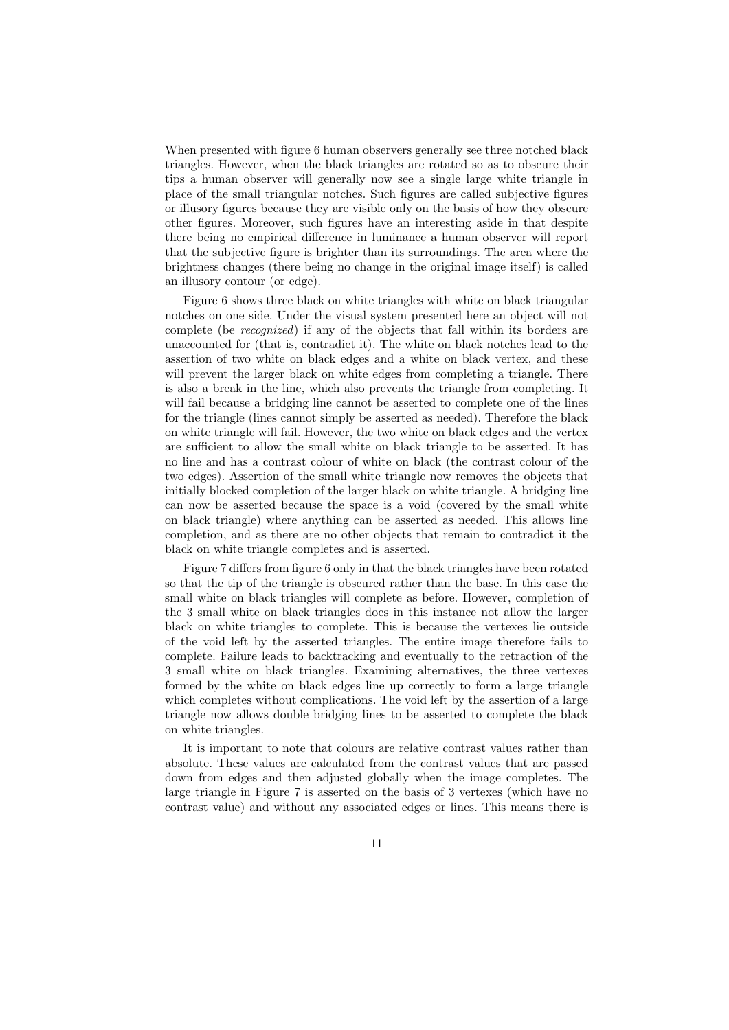When presented with figure 6 human observers generally see three notched black triangles. However, when the black triangles are rotated so as to obscure their tips a human observer will generally now see a single large white triangle in place of the small triangular notches. Such figures are called subjective figures or illusory figures because they are visible only on the basis of how they obscure other figures. Moreover, such figures have an interesting aside in that despite there being no empirical difference in luminance a human observer will report that the subjective figure is brighter than its surroundings. The area where the brightness changes (there being no change in the original image itself) is called an illusory contour (or edge).

Figure 6 shows three black on white triangles with white on black triangular notches on one side. Under the visual system presented here an object will not complete (be *recognized*) if any of the objects that fall within its borders are unaccounted for (that is, contradict it). The white on black notches lead to the assertion of two white on black edges and a white on black vertex, and these will prevent the larger black on white edges from completing a triangle. There is also a break in the line, which also prevents the triangle from completing. It will fail because a bridging line cannot be asserted to complete one of the lines for the triangle (lines cannot simply be asserted as needed). Therefore the black on white triangle will fail. However, the two white on black edges and the vertex are sufficient to allow the small white on black triangle to be asserted. It has no line and has a contrast colour of white on black (the contrast colour of the two edges). Assertion of the small white triangle now removes the objects that initially blocked completion of the larger black on white triangle. A bridging line can now be asserted because the space is a void (covered by the small white on black triangle) where anything can be asserted as needed. This allows line completion, and as there are no other objects that remain to contradict it the black on white triangle completes and is asserted.

Figure 7 differs from figure 6 only in that the black triangles have been rotated so that the tip of the triangle is obscured rather than the base. In this case the small white on black triangles will complete as before. However, completion of the 3 small white on black triangles does in this instance not allow the larger black on white triangles to complete. This is because the vertexes lie outside of the void left by the asserted triangles. The entire image therefore fails to complete. Failure leads to backtracking and eventually to the retraction of the 3 small white on black triangles. Examining alternatives, the three vertexes formed by the white on black edges line up correctly to form a large triangle which completes without complications. The void left by the assertion of a large triangle now allows double bridging lines to be asserted to complete the black on white triangles.

It is important to note that colours are relative contrast values rather than absolute. These values are calculated from the contrast values that are passed down from edges and then adjusted globally when the image completes. The large triangle in Figure 7 is asserted on the basis of 3 vertexes (which have no contrast value) and without any associated edges or lines. This means there is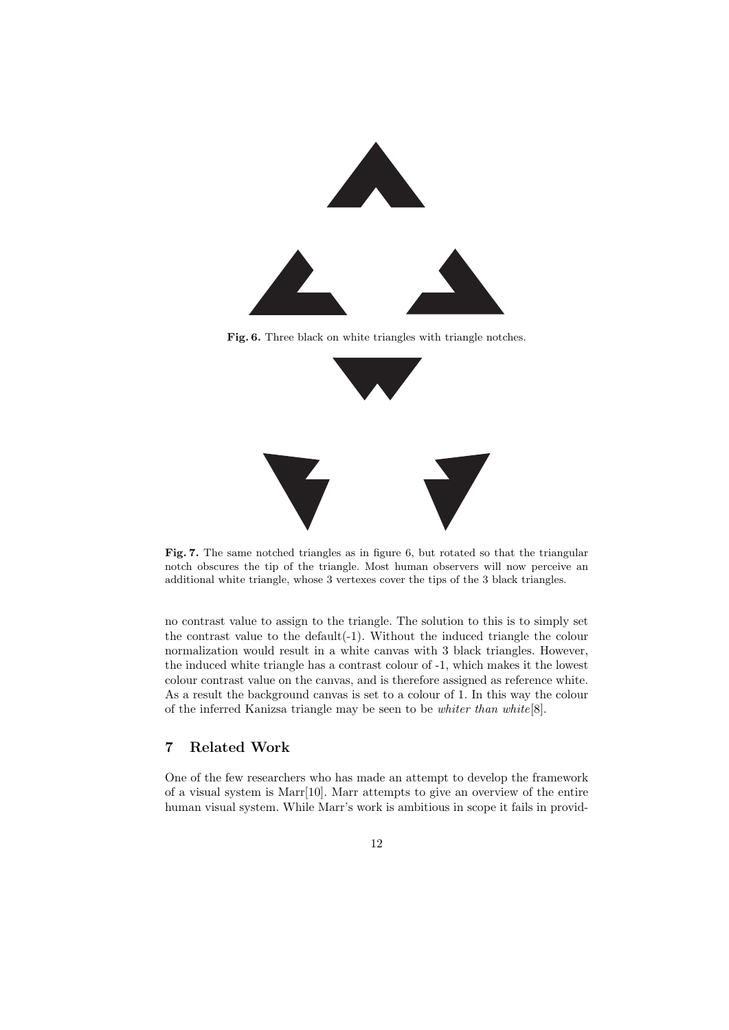

Fig. 6. Three black on white triangles with triangle notches.



Fig. 7. The same notched triangles as in figure 6, but rotated so that the triangular notch obscures the tip of the triangle. Most human observers will now perceive an additional white triangle, whose 3 vertexes cover the tips of the 3 black triangles.

no contrast value to assign to the triangle. The solution to this is to simply set the contrast value to the default(-1). Without the induced triangle the colour normalization would result in a white canvas with 3 black triangles. However, the induced white triangle has a contrast colour of -1, which makes it the lowest colour contrast value on the canvas, and is therefore assigned as reference white. As a result the background canvas is set to a colour of 1. In this way the colour of the inferred Kanizsa triangle may be seen to be *whiter than white*[8].

# **7 Related Work**

One of the few researchers who has made an attempt to develop the framework of a visual system is Marr[10]. Marr attempts to give an overview of the entire human visual system. While Marr's work is ambitious in scope it fails in provid-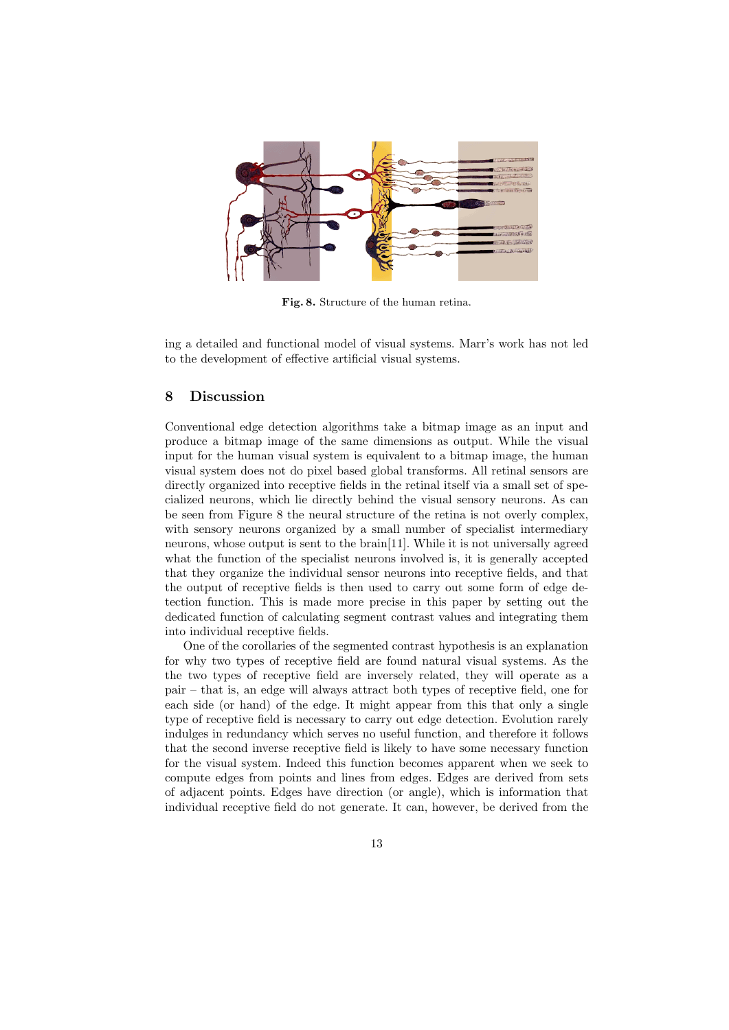

**Fig. 8.** Structure of the human retina.

ing a detailed and functional model of visual systems. Marr's work has not led to the development of effective artificial visual systems.

## **8 Discussion**

Conventional edge detection algorithms take a bitmap image as an input and produce a bitmap image of the same dimensions as output. While the visual input for the human visual system is equivalent to a bitmap image, the human visual system does not do pixel based global transforms. All retinal sensors are directly organized into receptive fields in the retinal itself via a small set of specialized neurons, which lie directly behind the visual sensory neurons. As can be seen from Figure 8 the neural structure of the retina is not overly complex, with sensory neurons organized by a small number of specialist intermediary neurons, whose output is sent to the brain[11]. While it is not universally agreed what the function of the specialist neurons involved is, it is generally accepted that they organize the individual sensor neurons into receptive fields, and that the output of receptive fields is then used to carry out some form of edge detection function. This is made more precise in this paper by setting out the dedicated function of calculating segment contrast values and integrating them into individual receptive fields.

One of the corollaries of the segmented contrast hypothesis is an explanation for why two types of receptive field are found natural visual systems. As the the two types of receptive field are inversely related, they will operate as a pair – that is, an edge will always attract both types of receptive field, one for each side (or hand) of the edge. It might appear from this that only a single type of receptive field is necessary to carry out edge detection. Evolution rarely indulges in redundancy which serves no useful function, and therefore it follows that the second inverse receptive field is likely to have some necessary function for the visual system. Indeed this function becomes apparent when we seek to compute edges from points and lines from edges. Edges are derived from sets of adjacent points. Edges have direction (or angle), which is information that individual receptive field do not generate. It can, however, be derived from the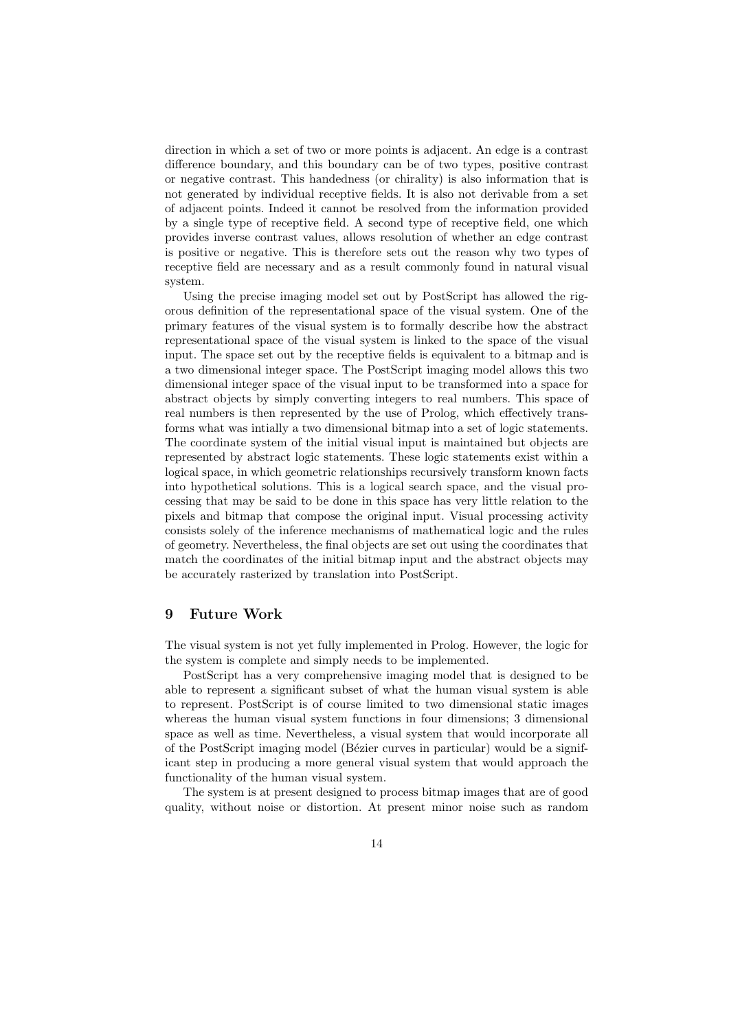direction in which a set of two or more points is adjacent. An edge is a contrast difference boundary, and this boundary can be of two types, positive contrast or negative contrast. This handedness (or chirality) is also information that is not generated by individual receptive fields. It is also not derivable from a set of adjacent points. Indeed it cannot be resolved from the information provided by a single type of receptive field. A second type of receptive field, one which provides inverse contrast values, allows resolution of whether an edge contrast is positive or negative. This is therefore sets out the reason why two types of receptive field are necessary and as a result commonly found in natural visual system.

Using the precise imaging model set out by PostScript has allowed the rigorous definition of the representational space of the visual system. One of the primary features of the visual system is to formally describe how the abstract representational space of the visual system is linked to the space of the visual input. The space set out by the receptive fields is equivalent to a bitmap and is a two dimensional integer space. The PostScript imaging model allows this two dimensional integer space of the visual input to be transformed into a space for abstract objects by simply converting integers to real numbers. This space of real numbers is then represented by the use of Prolog, which effectively transforms what was intially a two dimensional bitmap into a set of logic statements. The coordinate system of the initial visual input is maintained but objects are represented by abstract logic statements. These logic statements exist within a logical space, in which geometric relationships recursively transform known facts into hypothetical solutions. This is a logical search space, and the visual processing that may be said to be done in this space has very little relation to the pixels and bitmap that compose the original input. Visual processing activity consists solely of the inference mechanisms of mathematical logic and the rules of geometry. Nevertheless, the final objects are set out using the coordinates that match the coordinates of the initial bitmap input and the abstract objects may be accurately rasterized by translation into PostScript.

## **9 Future Work**

The visual system is not yet fully implemented in Prolog. However, the logic for the system is complete and simply needs to be implemented.

PostScript has a very comprehensive imaging model that is designed to be able to represent a significant subset of what the human visual system is able to represent. PostScript is of course limited to two dimensional static images whereas the human visual system functions in four dimensions; 3 dimensional space as well as time. Nevertheless, a visual system that would incorporate all of the PostScript imaging model (Bézier curves in particular) would be a significant step in producing a more general visual system that would approach the functionality of the human visual system.

The system is at present designed to process bitmap images that are of good quality, without noise or distortion. At present minor noise such as random